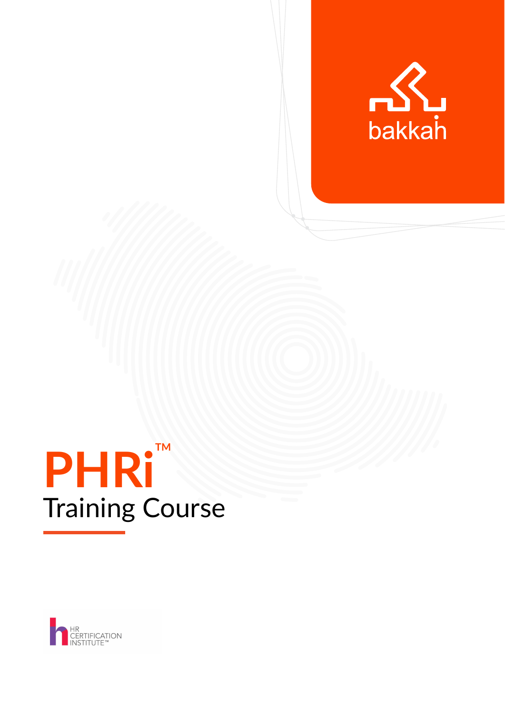

# PHRITM Training Course

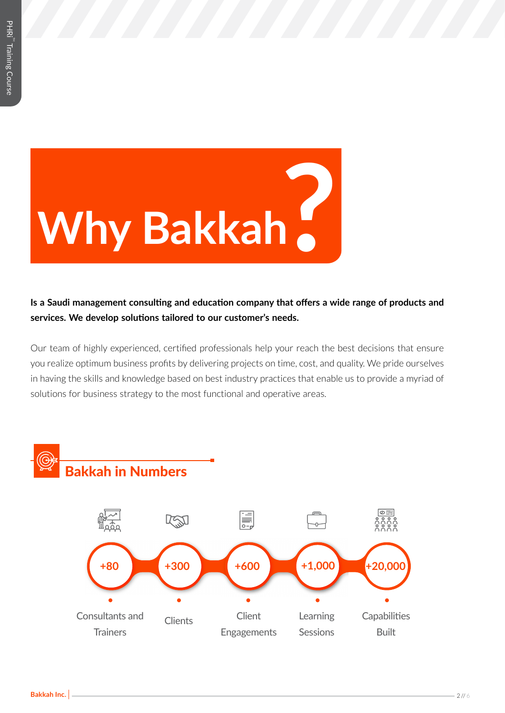

**Is a Saudi management consulting and education company that offers a wide range of products and services. We develop solutions tailored to our customer's needs.**

Our team of highly experienced, certified professionals help your reach the best decisions that ensure you realize optimum business profits by delivering projects on time, cost, and quality. We pride ourselves in having the skills and knowledge based on best industry practices that enable us to provide a myriad of solutions for business strategy to the most functional and operative areas.

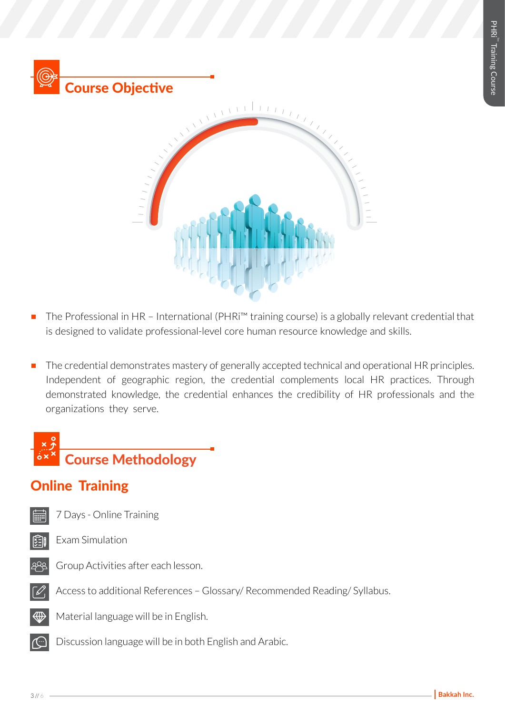

- The Professional in HR International (PHRi™ training course) is a globally relevant credential that is designed to validate professional-level core human resource knowledge and skills.
- The credential demonstrates mastery of generally accepted technical and operational HR principles. Independent of geographic region, the credential complements local HR practices. Through demonstrated knowledge, the credential enhances the credibility of HR professionals and the organizations they serve.

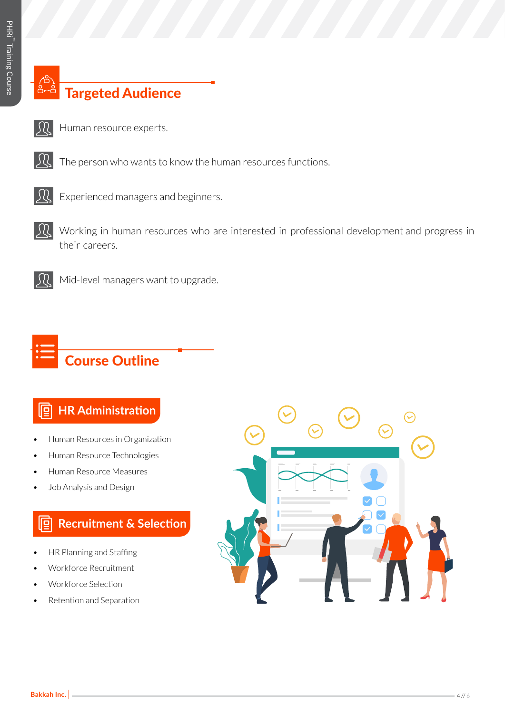## Targeted Audience

- 
- Human resource experts.
- $\mathcal{Y}$
- The person who wants to know the human resources functions.



Experienced managers and beginners.

 $\Omega$ Working in human resources who are interested in professional development and progress in their careers.



Mid-level managers want to upgrade.

## Course Outline

#### **HR Administration** <u>le</u>

- Human Resources in Organization
- Human Resource Technologies
- Human Resource Measures
- Job Analysis and Design

#### **Recruitment & Selection** I∏g

- HR Planning and Staffing
- Workforce Recruitment
- Workforce Selection
- Retention and Separation

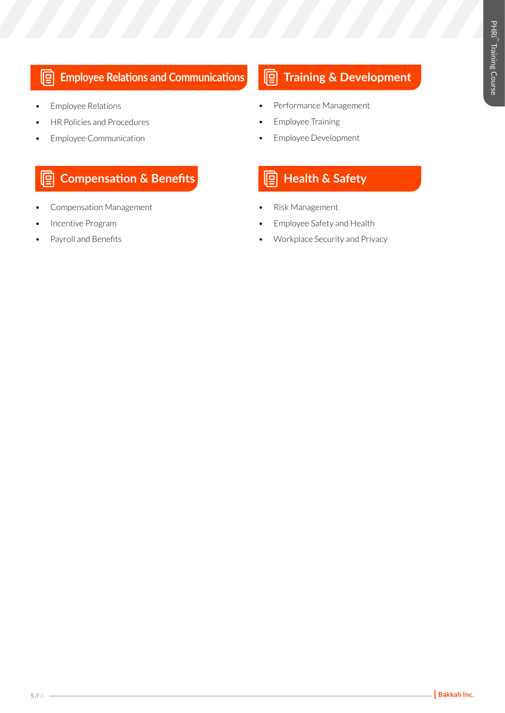#### 回 **Employee Relations and Communications**

- Employee Relations
- HR Policies and Procedures
- Employee Communication

### **Compensation & Benefits Health & Safety**

- Compensation Management
- Incentive Program
- Payroll and Benefits

## **Training & Development**

- Performance Management
- Employee Training
- Employee Development

- Risk Management
- Employee Safety and Health
- Workplace Security and Privacy